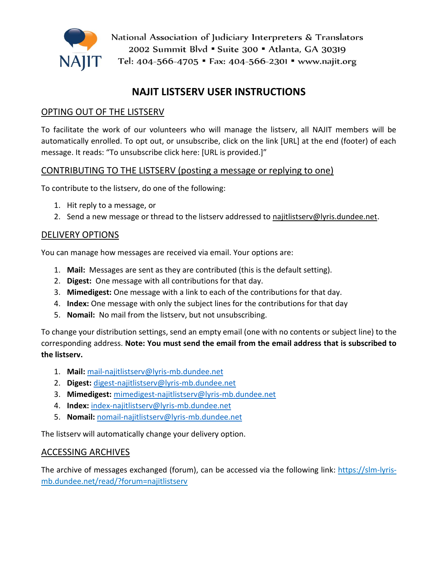

National Association of Judiciary Interpreters & Translators 2002 Summit Blvd • Suite 300 • Atlanta, GA 30319 Tel: 404-566-4705 " Fax: 404-566-2301 " www.najit.org

# **NAJIT LISTSERV USER INSTRUCTIONS**

### OPTING OUT OF THE LISTSERV

To facilitate the work of our volunteers who will manage the listserv, all NAJIT members will be automatically enrolled. To opt out, or unsubscribe, click on the link [URL] at the end (footer) of each message. It reads: "To unsubscribe click here: [URL is provided.]"

### CONTRIBUTING TO THE LISTSERV (posting a message or replying to one)

To contribute to the listserv, do one of the following:

- 1. Hit reply to a message, or
- 2. Send a new message or thread to the listserv addressed to [najitlistserv@lyris.dundee.net.](mailto:najitlistserv@lyris.dundee.net)

### DELIVERY OPTIONS

You can manage how messages are received via email. Your options are:

- 1. **Mail:** Messages are sent as they are contributed (this is the default setting).
- 2. **Digest:** One message with all contributions for that day.
- 3. **Mimedigest:** One message with a link to each of the contributions for that day.
- 4. **Index:** One message with only the subject lines for the contributions for that day
- 5. **Nomail:** No mail from the listserv, but not unsubscribing.

To change your distribution settings, send an empty email (one with no contents or subject line) to the corresponding address. **Note: You must send the email from the email address that is subscribed to the listserv.**

- 1. **Mail:** [mail-najitlistserv@lyris-mb.dundee.net](mailto:mail-najitlistserv@lyris-mb.dundee.net)
- 2. **Digest:** [digest-najitlistserv@lyris-mb.dundee.net](mailto:digest-najitlistserv@lyris-mb.dundee.net)
- 3. **Mimedigest:** [mimedigest-najitlistserv@lyris-mb.dundee.net](mailto:mimedigest-najitlistserv@lyris-mb.dundee.net)
- 4. **Index:** [index-najitlistserv@lyris-mb.dundee.net](mailto:index-najitlistserv@lyris-mb.dundee.net)
- 5. **Nomail:** [nomail-najitlistserv@lyris-mb.dundee.net](mailto:nomail-najitlistserv@lyris-mb.dundee.net)

The listserv will automatically change your delivery option.

### ACCESSING ARCHIVES

The archive of messages exchanged (forum), can be accessed via the following link: [https://slm-lyris](https://slm-lyris-mb.dundee.net/read/?forum=najitlistserv)[mb.dundee.net/read/?forum=najitlistserv](https://slm-lyris-mb.dundee.net/read/?forum=najitlistserv)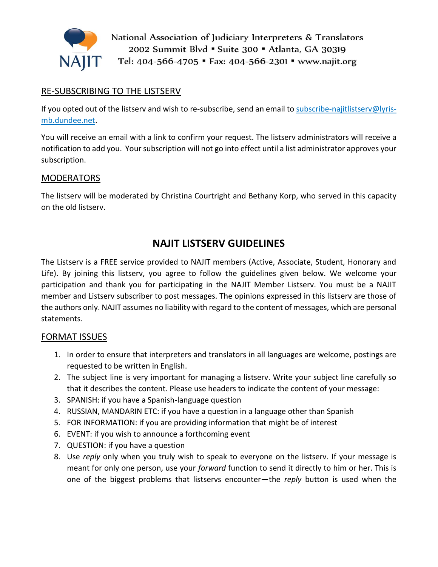

National Association of Judiciary Interpreters & Translators 2002 Summit Blvd • Suite 300 • Atlanta, GA 30319 Tel: 404-566-4705 • Fax: 404-566-2301 • www.najit.org

### RE-SUBSCRIBING TO THE LISTSERV

If you opted out of the listserv and wish to re-subscribe, send an email to [subscribe-najitlistserv@lyris](mailto:subscribe-najitlistserv@lyris-mb.dundee.net)[mb.dundee.net.](mailto:subscribe-najitlistserv@lyris-mb.dundee.net)

You will receive an email with a link to confirm your request. The listserv administrators will receive a notification to add you. Your subscription will not go into effect until a list administrator approves your subscription.

#### MODERATORS

The listserv will be moderated by Christina Courtright and Bethany Korp, who served in this capacity on the old listserv.

## **NAJIT LISTSERV GUIDELINES**

The Listserv is a FREE service provided to NAJIT members (Active, Associate, Student, Honorary and Life). By joining this listserv, you agree to follow the guidelines given below. We welcome your participation and thank you for participating in the NAJIT Member Listserv. You must be a NAJIT member and Listserv subscriber to post messages. The opinions expressed in this listserv are those of the authors only. NAJIT assumes no liability with regard to the content of messages, which are personal statements.

### FORMAT ISSUES

- 1. In order to ensure that interpreters and translators in all languages are welcome, postings are requested to be written in English.
- 2. The subject line is very important for managing a listserv. Write your subject line carefully so that it describes the content. Please use headers to indicate the content of your message:
- 3. SPANISH: if you have a Spanish-language question
- 4. RUSSIAN, MANDARIN ETC: if you have a question in a language other than Spanish
- 5. FOR INFORMATION: if you are providing information that might be of interest
- 6. EVENT: if you wish to announce a forthcoming event
- 7. QUESTION: if you have a question
- 8. Use *reply* only when you truly wish to speak to everyone on the listserv. If your message is meant for only one person, use your *forward* function to send it directly to him or her. This is one of the biggest problems that listservs encounter—the *reply* button is used when the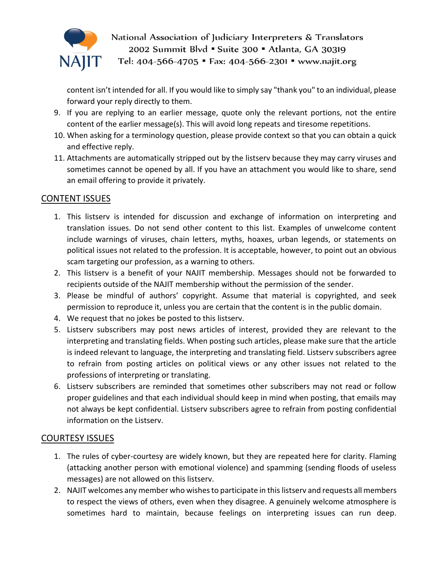

National Association of Judiciary Interpreters & Translators 2002 Summit Blvd • Suite 300 • Atlanta, GA 30319

Tel: 404-566-4705 · Fax: 404-566-2301 · www.najit.org

content isn't intended for all. If you would like to simply say "thank you" to an individual, please forward your reply directly to them.

- 9. If you are replying to an earlier message, quote only the relevant portions, not the entire content of the earlier message(s). This will avoid long repeats and tiresome repetitions.
- 10. When asking for a terminology question, please provide context so that you can obtain a quick and effective reply.
- 11. Attachments are automatically stripped out by the listserv because they may carry viruses and sometimes cannot be opened by all. If you have an attachment you would like to share, send an email offering to provide it privately.

### CONTENT ISSUES

- 1. This listserv is intended for discussion and exchange of information on interpreting and translation issues. Do not send other content to this list. Examples of unwelcome content include warnings of viruses, chain letters, myths, hoaxes, urban legends, or statements on political issues not related to the profession. It is acceptable, however, to point out an obvious scam targeting our profession, as a warning to others.
- 2. This listserv is a benefit of your NAJIT membership. Messages should not be forwarded to recipients outside of the NAJIT membership without the permission of the sender.
- 3. Please be mindful of authors' copyright. Assume that material is copyrighted, and seek permission to reproduce it, unless you are certain that the content is in the public domain.
- 4. We request that no jokes be posted to this listserv.
- 5. Listserv subscribers may post news articles of interest, provided they are relevant to the interpreting and translating fields. When posting such articles, please make sure that the article is indeed relevant to language, the interpreting and translating field. Listserv subscribers agree to refrain from posting articles on political views or any other issues not related to the professions of interpreting or translating.
- 6. Listserv subscribers are reminded that sometimes other subscribers may not read or follow proper guidelines and that each individual should keep in mind when posting, that emails may not always be kept confidential. Listserv subscribers agree to refrain from posting confidential information on the Listserv.

### COURTESY ISSUES

- 1. The rules of cyber-courtesy are widely known, but they are repeated here for clarity. Flaming (attacking another person with emotional violence) and spamming (sending floods of useless messages) are not allowed on this listserv.
- 2. NAJIT welcomes any member who wishes to participate in this listserv and requests all members to respect the views of others, even when they disagree. A genuinely welcome atmosphere is sometimes hard to maintain, because feelings on interpreting issues can run deep.